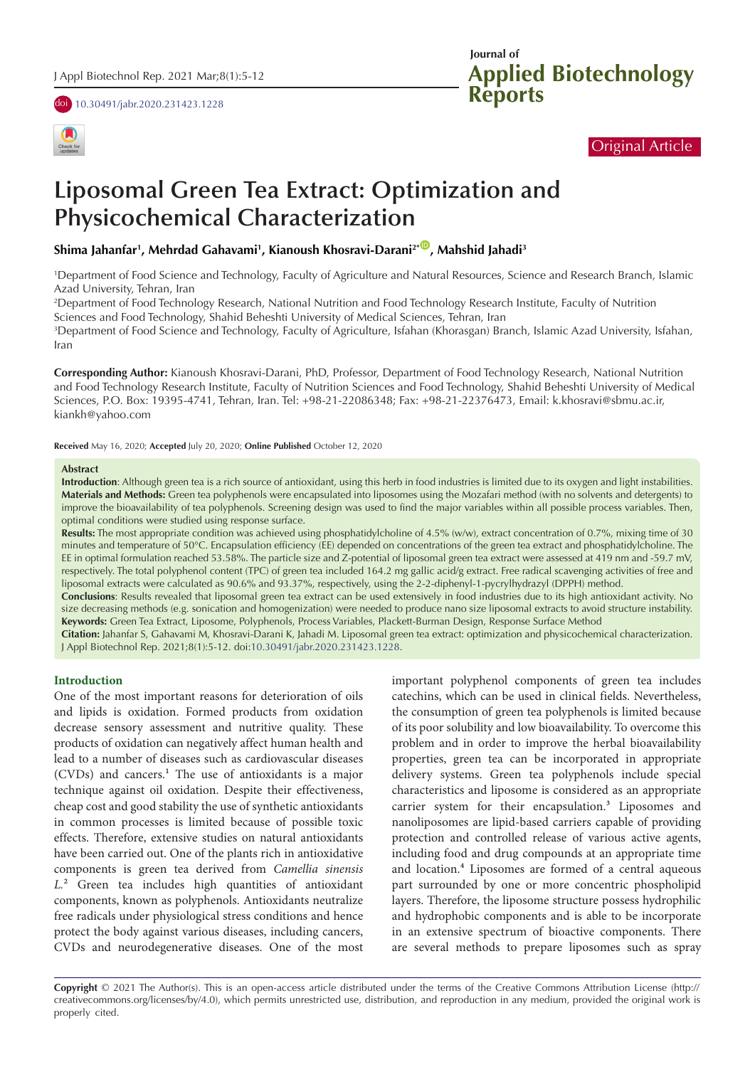doi [10.30491/jabr.2020.231423.1228](https://doi.org/10.30491/jabr.2020.231423.1228)



# **Applied Biotechnology Reports Journal of**

# Original Article

# **Liposomal Green Tea Extract: Optimization and Physicochemical Characterization**

**Shima Jahanfar1 , Mehrdad Gahavami1 , Kianoush Khosravi-Darani2\*** [ID](http://orcid.org/0000-0002-0269-6385) **, Mahshid Jahadi3**

1 Department of Food Science and Technology, Faculty of Agriculture and Natural Resources, Science and Research Branch, Islamic Azad University, Tehran, Iran

2 Department of Food Technology Research, National Nutrition and Food Technology Research Institute, Faculty of Nutrition Sciences and Food Technology, Shahid Beheshti University of Medical Sciences, Tehran, Iran

3 Department of Food Science and Technology, Faculty of Agriculture, Isfahan (Khorasgan) Branch, Islamic Azad University, Isfahan, Iran

**Corresponding Author:** Kianoush Khosravi-Darani, PhD, Professor, Department of Food Technology Research, National Nutrition and Food Technology Research Institute, Faculty of Nutrition Sciences and Food Technology, Shahid Beheshti University of Medical Sciences, P.O. Box: 19395-4741, Tehran, Iran. Tel: +98-21-22086348; Fax: +98-21-22376473, Email: k.khosravi@sbmu.ac.ir, kiankh@yahoo.com

**Received** May 16, 2020; **Accepted** July 20, 2020; **Online Published** October 12, 2020

#### **Abstract**

**Introduction**: Although green tea is a rich source of antioxidant, using this herb in food industries is limited due to its oxygen and light instabilities. **Materials and Methods:** Green tea polyphenols were encapsulated into liposomes using the Mozafari method (with no solvents and detergents) to improve the bioavailability of tea polyphenols. Screening design was used to find the major variables within all possible process variables. Then, optimal conditions were studied using response surface.

**Results:** The most appropriate condition was achieved using phosphatidylcholine of 4.5% (w/w), extract concentration of 0.7%, mixing time of 30 minutes and temperature of 50°C. Encapsulation efficiency (EE) depended on concentrations of the green tea extract and phosphatidylcholine. The EE in optimal formulation reached 53.58%. The particle size and Z-potential of liposomal green tea extract were assessed at 419 nm and -59.7 mV, respectively. The total polyphenol content (TPC) of green tea included 164.2 mg gallic acid/g extract. Free radical scavenging activities of free and liposomal extracts were calculated as 90.6% and 93.37%, respectively, using the 2-2-diphenyl-1-pycrylhydrazyl (DPPH) method.

**Conclusions**: Results revealed that liposomal green tea extract can be used extensively in food industries due to its high antioxidant activity. No size decreasing methods (e.g. sonication and homogenization) were needed to produce nano size liposomal extracts to avoid structure instability. **Keywords:** Green Tea Extract, Liposome, Polyphenols, Process Variables, Plackett-Burman Design, Response Surface Method

**Citation:** Jahanfar S, Gahavami M, Khosravi-Darani K, Jahadi M. Liposomal green tea extract: optimization and physicochemical characterization. J Appl Biotechnol Rep. 2021;8(1):5-12. doi:[10.30491/jabr.2020.231423.1228](https://doi.org/10.30491/jabr.2020.231423.1228).

#### **Introduction**

One of the most important reasons for deterioration of oils and lipids is oxidation. Formed products from oxidation decrease sensory assessment and nutritive quality. These products of oxidation can negatively affect human health and lead to a number of diseases such as cardiovascular diseases (CVDs) and cancers.<sup>1</sup> The use of antioxidants is a major technique against oil oxidation. Despite their effectiveness, cheap cost and good stability the use of synthetic antioxidants in common processes is limited because of possible toxic effects. Therefore, extensive studies on natural antioxidants have been carried out. One of the plants rich in antioxidative components is green tea derived from *Camellia sinensis L.*² Green tea includes high quantities of antioxidant components, known as polyphenols. Antioxidants neutralize free radicals under physiological stress conditions and hence protect the body against various diseases, including cancers, CVDs and neurodegenerative diseases. One of the most important polyphenol components of green tea includes catechins, which can be used in clinical fields. Nevertheless, the consumption of green tea polyphenols is limited because of its poor solubility and low bioavailability. To overcome this problem and in order to improve the herbal bioavailability properties, green tea can be incorporated in appropriate delivery systems. Green tea polyphenols include special characteristics and liposome is considered as an appropriate carrier system for their encapsulation.<sup>3</sup> Liposomes and nanoliposomes are lipid-based carriers capable of providing protection and controlled release of various active agents, including food and drug compounds at an appropriate time and location.<sup>4</sup> Liposomes are formed of a central aqueous part surrounded by one or more concentric phospholipid layers. Therefore, the liposome structure possess hydrophilic and hydrophobic components and is able to be incorporate in an extensive spectrum of bioactive components. There are several methods to prepare liposomes such as spray

**Copyright** © 2021 The Author(s). This is an open-access article distributed under the terms of the Creative Commons Attribution License (http:// creativecommons.org/licenses/by/4.0), which permits unrestricted use, distribution, and reproduction in any medium, provided the original work is properly cited.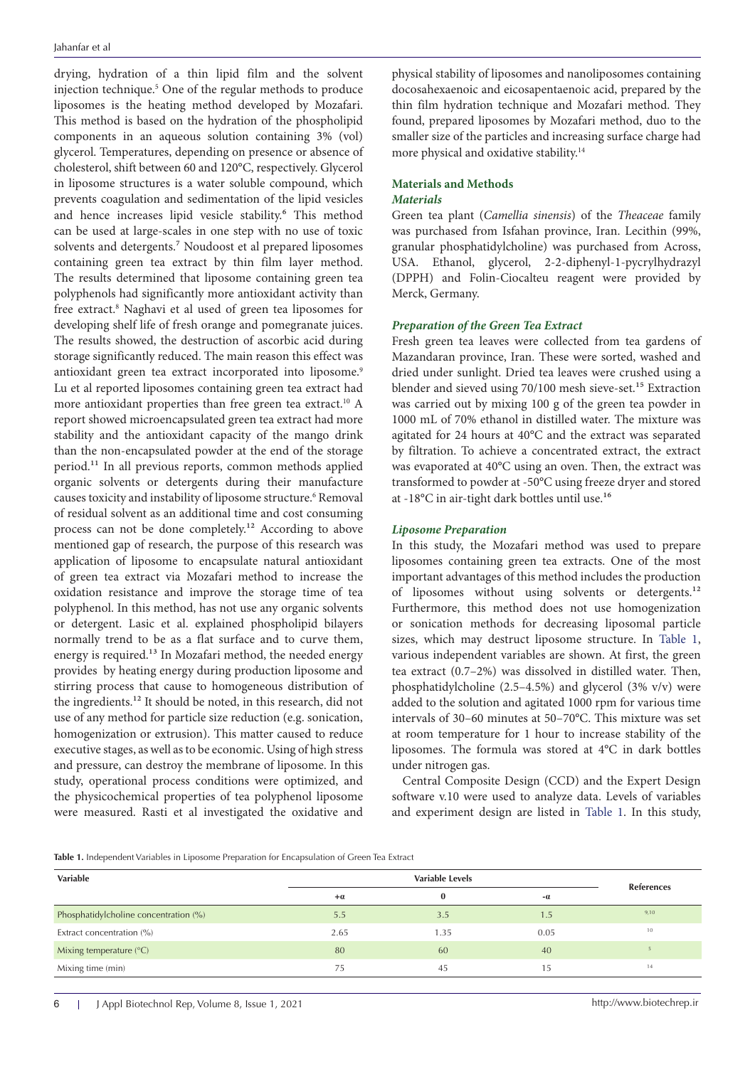drying, hydration of a thin lipid film and the solvent injection technique.5 One of the regular methods to produce liposomes is the heating method developed by Mozafari. This method is based on the hydration of the phospholipid components in an aqueous solution containing 3% (vol) glycerol. Temperatures, depending on presence or absence of cholesterol, shift between 60 and 120°C, respectively. Glycerol in liposome structures is a water soluble compound, which prevents coagulation and sedimentation of the lipid vesicles and hence increases lipid vesicle stability.<sup>6</sup> This method can be used at large-scales in one step with no use of toxic solvents and detergents.<sup>7</sup> Noudoost et al prepared liposomes containing green tea extract by thin film layer method. The results determined that liposome containing green tea polyphenols had significantly more antioxidant activity than free extract.<sup>8</sup> Naghavi et al used of green tea liposomes for developing shelf life of fresh orange and pomegranate juices. The results showed, the destruction of ascorbic acid during storage significantly reduced. The main reason this effect was antioxidant green tea extract incorporated into liposome.<sup>9</sup> Lu et al reported liposomes containing green tea extract had more antioxidant properties than free green tea extract.10 A report showed microencapsulated green tea extract had more stability and the antioxidant capacity of the mango drink than the non-encapsulated powder at the end of the storage period.<sup>11</sup> In all previous reports, common methods applied organic solvents or detergents during their manufacture causes toxicity and instability of liposome structure.<sup>6</sup> Removal of residual solvent as an additional time and cost consuming process can not be done completely.<sup>12</sup> According to above mentioned gap of research, the purpose of this research was application of liposome to encapsulate natural antioxidant of green tea extract via Mozafari method to increase the oxidation resistance and improve the storage time of tea polyphenol. In this method, has not use any organic solvents or detergent. Lasic et al. explained phospholipid bilayers normally trend to be as a flat surface and to curve them, energy is required.<sup>13</sup> In Mozafari method, the needed energy provides by heating energy during production liposome and stirring process that cause to homogeneous distribution of the ingredients.<sup>12</sup> It should be noted, in this research, did not use of any method for particle size reduction (e.g. sonication, homogenization or extrusion). This matter caused to reduce executive stages, as well as to be economic. Using of high stress and pressure, can destroy the membrane of liposome. In this study, operational process conditions were optimized, and the physicochemical properties of tea polyphenol liposome were measured. Rasti et al investigated the oxidative and

physical stability of liposomes and nanoliposomes containing docosahexaenoic and eicosapentaenoic acid, prepared by the thin film hydration technique and Mozafari method. They found, prepared liposomes by Mozafari method, duo to the smaller size of the particles and increasing surface charge had more physical and oxidative stability.14

# **Materials and Methods**

# *Materials*

Green tea plant (*Camellia sinensis*) of the *Theaceae* family was purchased from Isfahan province, Iran. Lecithin (99%, granular phosphatidylcholine) was purchased from Across, USA. Ethanol, glycerol, 2-2-diphenyl-1-pycrylhydrazyl (DPPH) and Folin-Ciocalteu reagent were provided by Merck, Germany.

### *Preparation of the Green Tea Extract*

Fresh green tea leaves were collected from tea gardens of Mazandaran province, Iran. These were sorted, washed and dried under sunlight. Dried tea leaves were crushed using a blender and sieved using 70/100 mesh sieve-set.<sup>15</sup> Extraction was carried out by mixing 100 g of the green tea powder in 1000 mL of 70% ethanol in distilled water. The mixture was agitated for 24 hours at 40°C and the extract was separated by filtration. To achieve a concentrated extract, the extract was evaporated at 40°C using an oven. Then, the extract was transformed to powder at -50°C using freeze dryer and stored at -18°C in air-tight dark bottles until use.<sup>16</sup>

#### *Liposome Preparation*

In this study, the Mozafari method was used to prepare liposomes containing green tea extracts. One of the most important advantages of this method includes the production of liposomes without using solvents or detergents.<sup>12</sup> Furthermore, this method does not use homogenization or sonication methods for decreasing liposomal particle sizes, which may destruct liposome structure. In [Table 1](#page-1-0), various independent variables are shown. At first, the green tea extract (0.7–2%) was dissolved in distilled water. Then, phosphatidylcholine (2.5–4.5%) and glycerol (3% v/v) were added to the solution and agitated 1000 rpm for various time intervals of 30–60 minutes at 50–70°C. This mixture was set at room temperature for 1 hour to increase stability of the liposomes. The formula was stored at 4°C in dark bottles under nitrogen gas.

Central Composite Design (CCD) and the Expert Design software v.10 were used to analyze data. Levels of variables and experiment design are listed in [Table 1.](#page-1-0) In this study,

<span id="page-1-0"></span>**Table 1.** Independent Variables in Liposome Preparation for Encapsulation of Green Tea Extract

| Variable                              |      | <b>References</b> |      |      |
|---------------------------------------|------|-------------------|------|------|
|                                       | $+a$ | $\bf{0}$          | $-a$ |      |
| Phosphatidylcholine concentration (%) | 5.5  | 3.5               | 1.5  | 9,10 |
| Extract concentration (%)             | 2.65 | 1.35              | 0.05 | 10   |
| Mixing temperature $(^{\circ}C)$      | 80   | 60                | 40   |      |
| Mixing time (min)                     | 75   | 45                | 15   | 14   |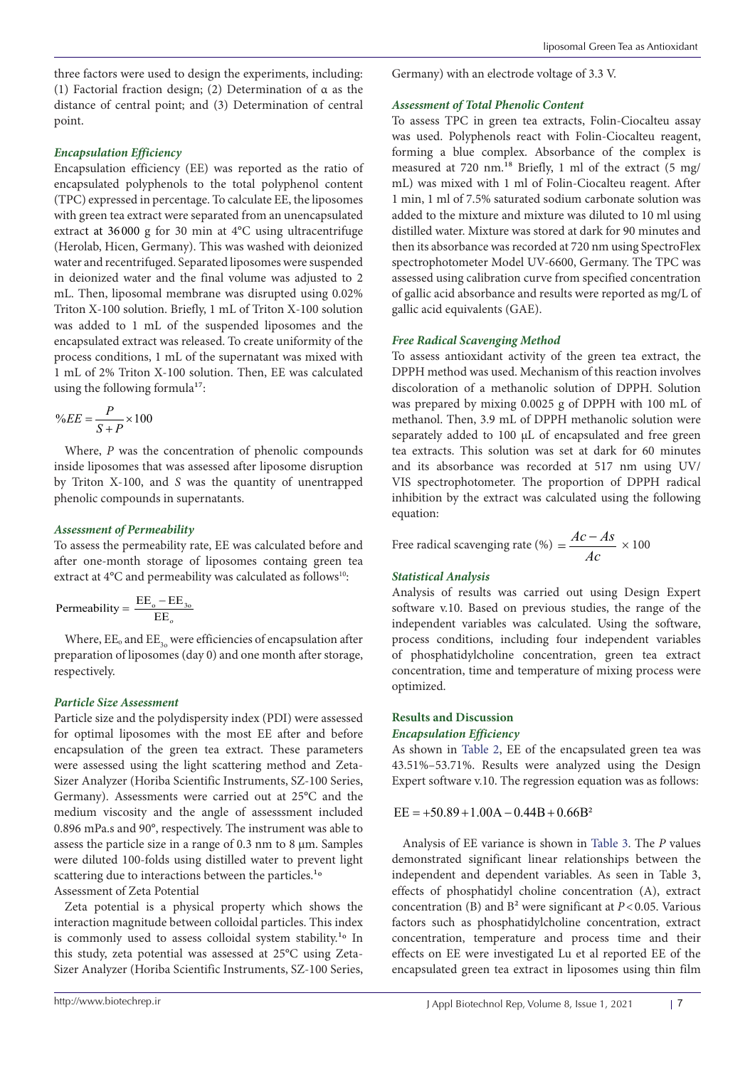three factors were used to design the experiments, including: (1) Factorial fraction design; (2) Determination of α as the distance of central point; and (3) Determination of central point.

### *Encapsulation Efficiency*

Encapsulation efficiency (EE) was reported as the ratio of encapsulated polyphenols to the total polyphenol content (TPC) expressed in percentage. To calculate EE, the liposomes with green tea extract were separated from an unencapsulated extract at 36 000 g for 30 min at 4°C using ultracentrifuge (Herolab, Hicen, Germany). This was washed with deionized water and recentrifuged. Separated liposomes were suspended in deionized water and the final volume was adjusted to 2 mL. Then, liposomal membrane was disrupted using 0.02% Triton X-100 solution. Briefly, 1 mL of Triton X-100 solution was added to 1 mL of the suspended liposomes and the encapsulated extract was released. To create uniformity of the process conditions, 1 mL of the supernatant was mixed with 1 mL of 2% Triton X-100 solution. Then, EE was calculated using the following formula<sup>17</sup>:

$$
\%EE = \frac{P}{S+P} \times 100
$$

Where, *P* was the concentration of phenolic compounds inside liposomes that was assessed after liposome disruption by Triton X-100, and *S* was the quantity of unentrapped phenolic compounds in supernatants.

#### *Assessment of Permeability*

To assess the permeability rate, EE was calculated before and after one-month storage of liposomes containg green tea extract at 4°C and permeability was calculated as follows<sup>10</sup>:

$$
\text{Permeability} = \frac{\text{EE}_\text{o} - \text{EE}_\text{3o}}{\text{EE}_\text{o}}
$$

Where,  $EE_0$  and  $EE_3$  were efficiencies of encapsulation after preparation of liposomes (day 0) and one month after storage, respectively.

#### *Particle Size Assessment*

Particle size and the polydispersity index (PDI) were assessed for optimal liposomes with the most EE after and before encapsulation of the green tea extract. These parameters were assessed using the light scattering method and Zeta-Sizer Analyzer (Horiba Scientific Instruments, SZ-100 Series, Germany). Assessments were carried out at 25°C and the medium viscosity and the angle of assesssment included 0.896 mPa.s and 90°, respectively. The instrument was able to assess the particle size in a range of 0.3 nm to 8 µm. Samples were diluted 100-folds using distilled water to prevent light scattering due to interactions between the particles.<sup>1</sup>° Assessment of Zeta Potential

Zeta potential is a physical property which shows the interaction magnitude between colloidal particles. This index is commonly used to assess colloidal system stability.<sup>1</sup>° In this study, zeta potential was assessed at 25°C using Zeta-Sizer Analyzer (Horiba Scientific Instruments, SZ-100 Series,

Germany) with an electrode voltage of 3.3 V.

#### *Assessment of Total Phenolic Content*

To assess TPC in green tea extracts, Folin-Ciocalteu assay was used. Polyphenols react with Folin-Ciocalteu reagent, forming a blue complex. Absorbance of the complex is measured at 720 nm.<sup>18</sup> Briefly, 1 ml of the extract (5 mg/ mL) was mixed with 1 ml of Folin-Ciocalteu reagent. After 1 min, 1 ml of 7.5% saturated sodium carbonate solution was added to the mixture and mixture was diluted to 10 ml using distilled water. Mixture was stored at dark for 90 minutes and then its absorbance was recorded at 720 nm using SpectroFlex spectrophotometer Model UV-6600, Germany. The TPC was assessed using calibration curve from specified concentration of gallic acid absorbance and results were reported as mg/L of gallic acid equivalents (GAE).

#### *Free Radical Scavenging Method*

To assess antioxidant activity of the green tea extract, the DPPH method was used. Mechanism of this reaction involves discoloration of a methanolic solution of DPPH. Solution was prepared by mixing 0.0025 g of DPPH with 100 mL of methanol. Then, 3.9 mL of DPPH methanolic solution were separately added to 100 µL of encapsulated and free green tea extracts. This solution was set at dark for 60 minutes and its absorbance was recorded at 517 nm using UV/ VIS spectrophotometer. The proportion of DPPH radical inhibition by the extract was calculated using the following equation:

Free radical scavenging rate (%)  $=$   $\frac{Ac - As}{A}$ *Ac*  $=\frac{Ac-As}{\sqrt{2}} \times 100$ 

## *Statistical Analysis*

Analysis of results was carried out using Design Expert software v.10. Based on previous studies, the range of the independent variables was calculated. Using the software, process conditions, including four independent variables of phosphatidylcholine concentration, green tea extract concentration, time and temperature of mixing process were optimized.

#### **Results and Discussion** *Encapsulation Efficiency*

As shown in [Table 2,](#page-3-0) EE of the encapsulated green tea was 43.51%–53.71%. Results were analyzed using the Design Expert software v.10. The regression equation was as follows:

#### $EE = +50.89 + 1.00A - 0.44B + 0.66B^2$

Analysis of EE variance is shown in [Table 3](#page-3-1). The *P* values demonstrated significant linear relationships between the independent and dependent variables. As seen in Table 3, effects of phosphatidyl choline concentration (A), extract concentration (B) and  $B^2$  were significant at  $P < 0.05$ . Various factors such as phosphatidylcholine concentration, extract concentration, temperature and process time and their effects on EE were investigated Lu et al reported EE of the encapsulated green tea extract in liposomes using thin film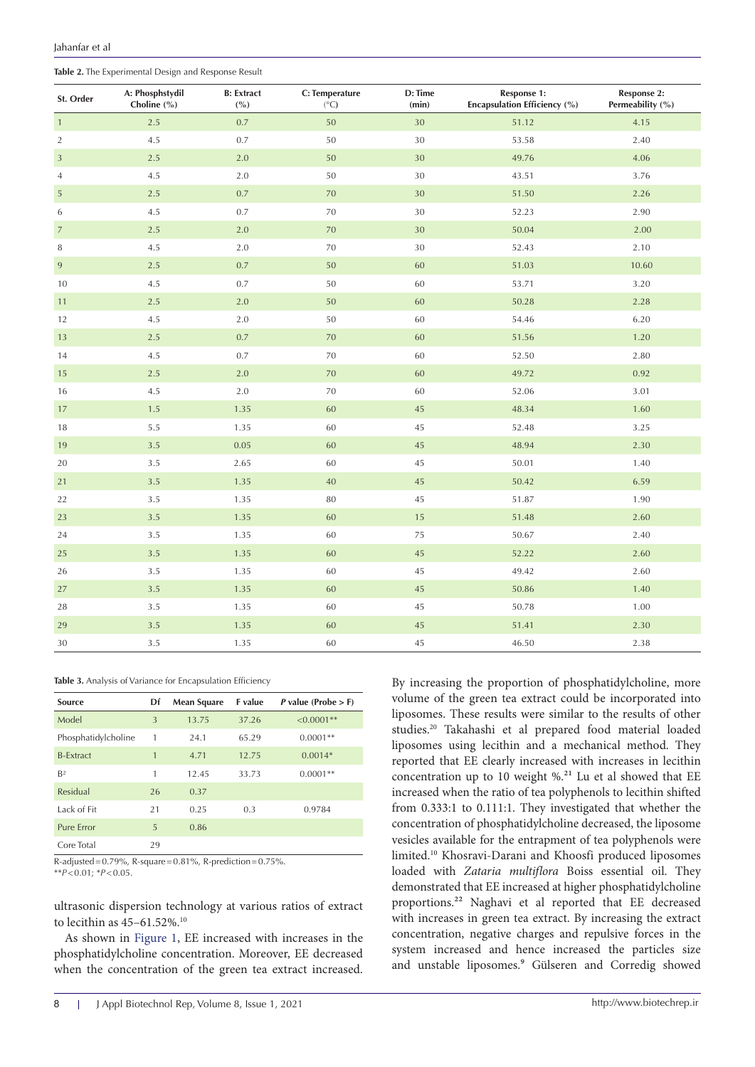<span id="page-3-0"></span>**Table 2.** The Experimental Design and Response Result

| St. Order      | A: Phosphstydil<br>Choline (%) | <b>B:</b> Extract<br>( %) | C: Temperature<br>(°C) | D: Time<br>(min) | Response 1:<br>Encapsulation Efficiency (%) | Response 2:<br>Permeability (%) |
|----------------|--------------------------------|---------------------------|------------------------|------------------|---------------------------------------------|---------------------------------|
| $\mathbf{1}$   | 2.5                            | 0.7                       | 50                     | 30               | 51.12                                       | 4.15                            |
| $\overline{2}$ | 4.5                            | 0.7                       | 50                     | 30               | 53.58                                       | 2.40                            |
| $\mathbf{3}$   | 2.5                            | 2.0                       | 50                     | 30               | 49.76                                       | 4.06                            |
| $\overline{4}$ | 4.5                            | $2.0\,$                   | $50\,$                 | $30\,$           | 43.51                                       | 3.76                            |
| 5              | $2.5\,$                        | $0.7\,$                   | 70                     | 30               | 51.50                                       | 2.26                            |
| 6              | 4.5                            | 0.7                       | 70                     | 30               | 52.23                                       | 2.90                            |
| $\overline{7}$ | 2.5                            | 2.0                       | $70\,$                 | $30\,$           | 50.04                                       | 2.00                            |
| $\, 8$         | 4.5                            | 2.0                       | 70                     | 30               | 52.43                                       | 2.10                            |
| $\,9$          | 2.5                            | $0.7\,$                   | $50\,$                 | 60               | 51.03                                       | 10.60                           |
| 10             | 4.5                            | 0.7                       | 50                     | 60               | 53.71                                       | 3.20                            |
| 11             | $2.5\,$                        | $2.0\,$                   | $50\,$                 | 60               | 50.28                                       | 2.28                            |
| 12             | 4.5                            | 2.0                       | 50                     | 60               | 54.46                                       | 6.20                            |
| 13             | 2.5                            | 0.7                       | 70                     | 60               | 51.56                                       | 1.20                            |
| 14             | 4.5                            | 0.7                       | 70                     | 60               | 52.50                                       | 2.80                            |
| 15             | $2.5\,$                        | $2.0\,$                   | $70\,$                 | 60               | 49.72                                       | 0.92                            |
| 16             | 4.5                            | 2.0                       | $70\,$                 | 60               | 52.06                                       | 3.01                            |
| 17             | 1.5                            | 1.35                      | 60                     | 45               | 48.34                                       | 1.60                            |
| 18             | 5.5                            | 1.35                      | 60                     | 45               | 52.48                                       | 3.25                            |
| 19             | $3.5\,$                        | 0.05                      | $60\,$                 | $45\,$           | 48.94                                       | 2.30                            |
| 20             | $3.5\,$                        | 2.65                      | 60                     | 45               | 50.01                                       | 1.40                            |
| 21             | 3.5                            | 1.35                      | 40                     | 45               | 50.42                                       | 6.59                            |
| 22             | 3.5                            | 1.35                      | 80                     | 45               | 51.87                                       | 1.90                            |
| 23             | 3.5                            | 1.35                      | 60                     | $15\,$           | 51.48                                       | 2.60                            |
| 24             | 3.5                            | 1.35                      | 60                     | 75               | 50.67                                       | 2.40                            |
| 25             | 3.5                            | 1.35                      | 60                     | $45\,$           | 52.22                                       | 2.60                            |
| 26             | 3.5                            | 1.35                      | 60                     | 45               | 49.42                                       | 2.60                            |
| 27             | 3.5                            | 1.35                      | $60\,$                 | $45\,$           | 50.86                                       | 1.40                            |
| 28             | $3.5\,$                        | 1.35                      | 60                     | 45               | 50.78                                       | 1.00                            |
| 29             | 3.5                            | 1.35                      | 60                     | 45               | 51.41                                       | 2.30                            |
| 30             | 3.5                            | 1.35                      | 60                     | 45               | 46.50                                       | 2.38                            |

<span id="page-3-1"></span>**Table 3.** Analysis of Variance for Encapsulation Efficiency

| Source              | Df | <b>Mean Square</b> | <b>F</b> value | <i>P</i> value (Probe $>$ F) |
|---------------------|----|--------------------|----------------|------------------------------|
| Model               | 3  | 13.75              | 37.26          | $\leq 0.0001**$              |
| Phosphatidylcholine | 1  | 24.1               | 65.29          | $0.0001**$                   |
| <b>B-Extract</b>    | 1  | 4.71               | 12.75          | $0.0014*$                    |
| B <sup>2</sup>      | 1  | 12.45              | 33.73          | $0.0001**$                   |
| Residual            | 26 | 0.37               |                |                              |
| Lack of Fit         | 21 | 0.25               | 0.3            | 0.9784                       |
| Pure Frror          | 5  | 0.86               |                |                              |
| Core Total          | 29 |                    |                |                              |

R-adjusted=0.79%, R-square=0.81%, R-prediction=0.75%. \*\**P*<0.01; \**P*<0.05.

ultrasonic dispersion technology at various ratios of extract to lecithin as 45-61.52%.<sup>10</sup>

As shown in [Figure 1,](#page-4-0) EE increased with increases in the phosphatidylcholine concentration. Moreover, EE decreased when the concentration of the green tea extract increased.

By increasing the proportion of phosphatidylcholine, more volume of the green tea extract could be incorporated into liposomes. These results were similar to the results of other studies.20 Takahashi et al prepared food material loaded liposomes using lecithin and a mechanical method. They reported that EE clearly increased with increases in lecithin concentration up to 10 weight  $\%$ .<sup>21</sup> Lu et al showed that EE increased when the ratio of tea polyphenols to lecithin shifted from 0.333:1 to 0.111:1. They investigated that whether the concentration of phosphatidylcholine decreased, the liposome vesicles available for the entrapment of tea polyphenols were limited.10 Khosravi-Darani and Khoosfi produced liposomes loaded with *Zataria multiflora* Boiss essential oil. They demonstrated that EE increased at higher phosphatidylcholine proportions.²² Naghavi et al reported that EE decreased with increases in green tea extract. By increasing the extract concentration, negative charges and repulsive forces in the system increased and hence increased the particles size and unstable liposomes.<sup>9</sup> Gülseren and Corredig showed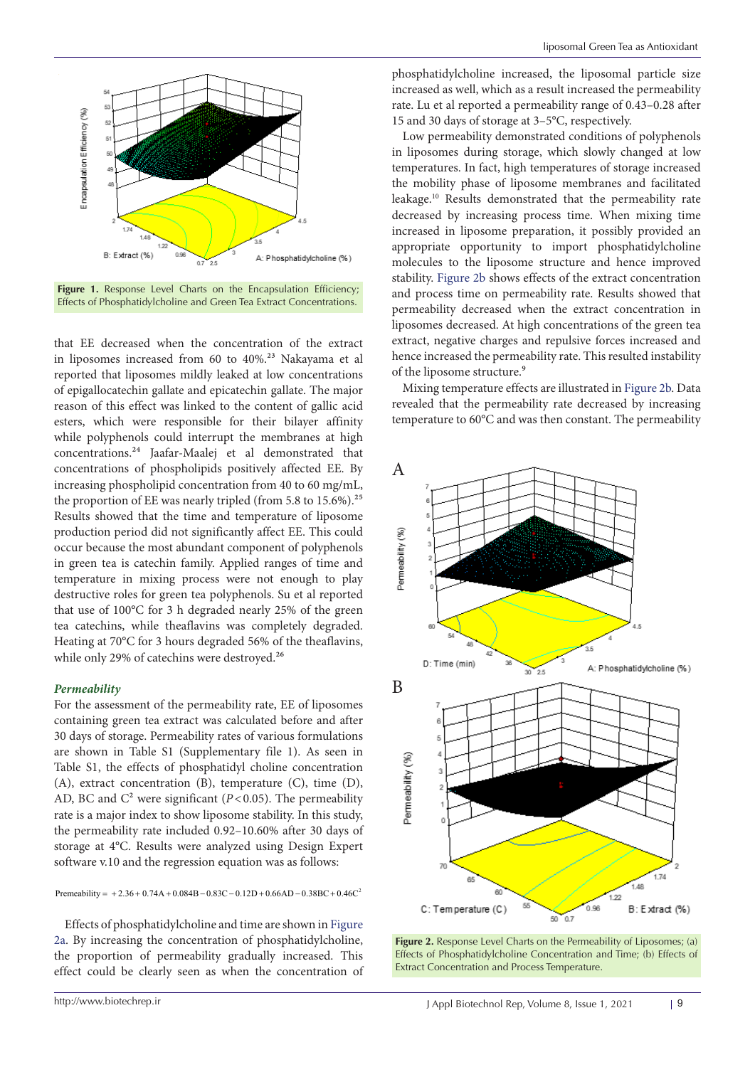<span id="page-4-0"></span>

Figure 1. Response Level Charts on the Encapsulation Efficiency; Effects of Phosphatidylcholine and Green Tea Extract Concentrations.

that EE decreased when the concentration of the extract in liposomes increased from 60 to 40%.<sup>23</sup> Nakayama et al reported that liposomes mildly leaked at low concentrations of epigallocatechin gallate and epicatechin gallate. The major reason of this effect was linked to the content of gallic acid esters, which were responsible for their bilayer affinity while polyphenols could interrupt the membranes at high concentrations.<sup>24</sup> Jaafar-Maalej et al demonstrated that concentrations of phospholipids positively affected EE. By increasing phospholipid concentration from 40 to 60 mg/mL, the proportion of EE was nearly tripled (from 5.8 to 15.6%).<sup>25</sup> Results showed that the time and temperature of liposome production period did not significantly affect EE. This could occur because the most abundant component of polyphenols in green tea is catechin family. Applied ranges of time and temperature in mixing process were not enough to play destructive roles for green tea polyphenols. Su et al reported that use of 100°C for 3 h degraded nearly 25% of the green tea catechins, while theaflavins was completely degraded. Heating at 70°C for 3 hours degraded 56% of the theaflavins, while only 29% of catechins were destroyed.<sup>26</sup>

#### *Permeability*

For the assessment of the permeability rate, EE of liposomes containing green tea extract was calculated before and after 30 days of storage. Permeability rates of various formulations are shown in Table S1 (Supplementary file 1). As seen in Table S1, the effects of phosphatidyl choline concentration (A), extract concentration (B), temperature (C), time (D), AD, BC and  $C^2$  were significant ( $P < 0.05$ ). The permeability rate is a major index to show liposome stability. In this study, the permeability rate included 0.92–10.60% after 30 days of storage at 4°C. Results were analyzed using Design Expert software v.10 and the regression equation was as follows:

Premeability =  $+2.36 + 0.74A + 0.084B - 0.83C - 0.12D + 0.66AD - 0.38BC + 0.46C^2$ 

Effects of phosphatidylcholine and time are shown in [Figure](#page-4-1) [2a.](#page-4-1) By increasing the concentration of phosphatidylcholine, the proportion of permeability gradually increased. This effect could be clearly seen as when the concentration of

phosphatidylcholine increased, the liposomal particle size increased as well, which as a result increased the permeability rate. Lu et al reported a permeability range of 0.43–0.28 after 15 and 30 days of storage at 3–5°C, respectively.

Low permeability demonstrated conditions of polyphenols in liposomes during storage, which slowly changed at low temperatures. In fact, high temperatures of storage increased the mobility phase of liposome membranes and facilitated leakage.10 Results demonstrated that the permeability rate decreased by increasing process time. When mixing time increased in liposome preparation, it possibly provided an appropriate opportunity to import phosphatidylcholine molecules to the liposome structure and hence improved stability. Figure 2b shows effects of the extract concentration and process time on permeability rate. Results showed that permeability decreased when the extract concentration in liposomes decreased. At high concentrations of the green tea extract, negative charges and repulsive forces increased and hence increased the permeability rate. This resulted instability of the liposome structure.<sup>9</sup>

Mixing temperature effects are illustrated in [Figure 2b.](#page-4-2) Data revealed that the permeability rate decreased by increasing temperature to 60°C and was then constant. The permeability

<span id="page-4-2"></span><span id="page-4-1"></span>

**Figure 2.** Response Level Charts on the Permeability of Liposomes; (a) Effects of Phosphatidylcholine Concentration and Time; (b) Effects of Extract Concentration and Process Temperature.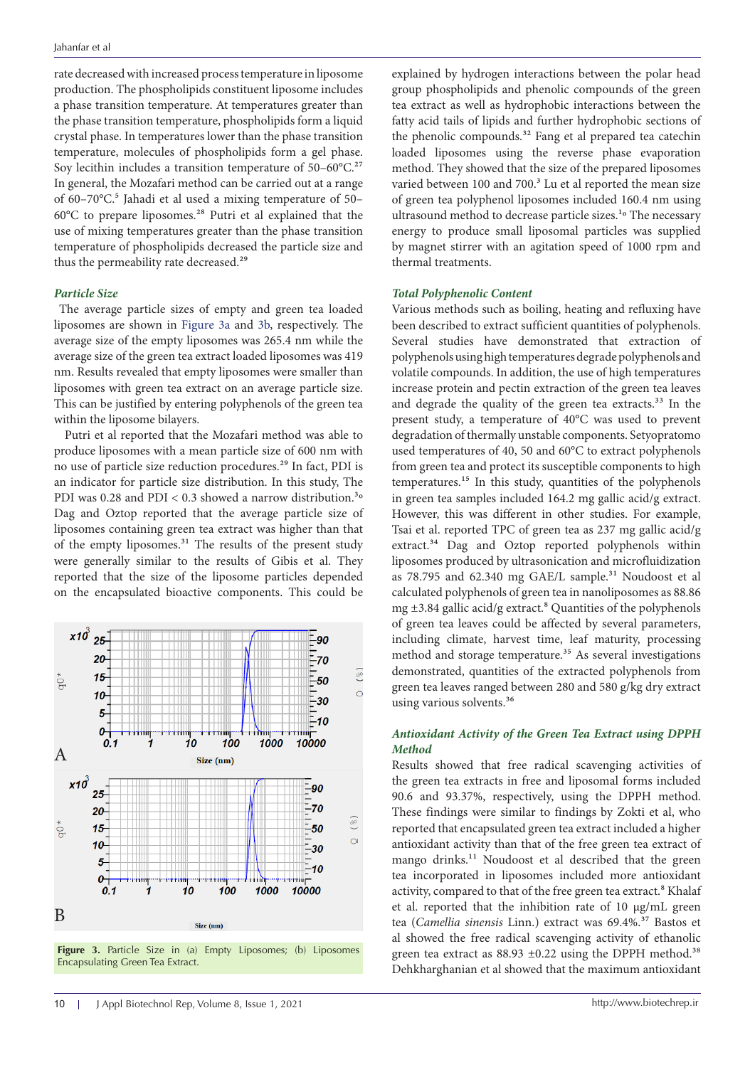rate decreased with increased process temperature in liposome production. The phospholipids constituent liposome includes a phase transition temperature. At temperatures greater than the phase transition temperature, phospholipids form a liquid crystal phase. In temperatures lower than the phase transition temperature, molecules of phospholipids form a gel phase. Soy lecithin includes a transition temperature of  $50-60^{\circ}$ C.<sup>27</sup> In general, the Mozafari method can be carried out at a range of 60-70°C.<sup>5</sup> Jahadi et al used a mixing temperature of 50-60°C to prepare liposomes.<sup>28</sup> Putri et al explained that the use of mixing temperatures greater than the phase transition temperature of phospholipids decreased the particle size and thus the permeability rate decreased.<sup>29</sup>

#### *Particle Size*

 The average particle sizes of empty and green tea loaded liposomes are shown in [Figure 3a](#page-5-0) and [3b,](#page-5-1) respectively. The average size of the empty liposomes was 265.4 nm while the average size of the green tea extract loaded liposomes was 419 nm. Results revealed that empty liposomes were smaller than liposomes with green tea extract on an average particle size. This can be justified by entering polyphenols of the green tea within the liposome bilayers.

Putri et al reported that the Mozafari method was able to produce liposomes with a mean particle size of 600 nm with no use of particle size reduction procedures.<sup>29</sup> In fact, PDI is an indicator for particle size distribution. In this study, The PDI was 0.28 and PDI <  $0.3$  showed a narrow distribution.<sup>3</sup>° Dag and Oztop reported that the average particle size of liposomes containing green tea extract was higher than that of the empty liposomes.<sup>31</sup> The results of the present study were generally similar to the results of Gibis et al. They reported that the size of the liposome particles depended on the encapsulated bioactive components. This could be

<span id="page-5-1"></span><span id="page-5-0"></span>

**Figure 3.** Particle Size in (a) Empty Liposomes; (b) Liposomes Encapsulating Green Tea Extract.

explained by hydrogen interactions between the polar head group phospholipids and phenolic compounds of the green tea extract as well as hydrophobic interactions between the fatty acid tails of lipids and further hydrophobic sections of the phenolic compounds.<sup>32</sup> Fang et al prepared tea catechin loaded liposomes using the reverse phase evaporation method. They showed that the size of the prepared liposomes varied between 100 and 700.<sup>3</sup> Lu et al reported the mean size of green tea polyphenol liposomes included 160.4 nm using ultrasound method to decrease particle sizes.<sup>1</sup>° The necessary energy to produce small liposomal particles was supplied by magnet stirrer with an agitation speed of 1000 rpm and thermal treatments.

#### *Total Polyphenolic Content*

Various methods such as boiling, heating and refluxing have been described to extract sufficient quantities of polyphenols. Several studies have demonstrated that extraction of polyphenols using high temperatures degrade polyphenols and volatile compounds. In addition, the use of high temperatures increase protein and pectin extraction of the green tea leaves and degrade the quality of the green tea extracts.<sup>33</sup> In the present study, a temperature of 40°C was used to prevent degradation of thermally unstable components. Setyopratomo used temperatures of 40, 50 and 60°C to extract polyphenols from green tea and protect its susceptible components to high temperatures.<sup>15</sup> In this study, quantities of the polyphenols in green tea samples included 164.2 mg gallic acid/g extract. However, this was different in other studies. For example, Tsai et al. reported TPC of green tea as 237 mg gallic acid/g extract.<sup>34</sup> Dag and Oztop reported polyphenols within liposomes produced by ultrasonication and microfluidization as 78.795 and 62.340 mg GAE/L sample.<sup>31</sup> Noudoost et al calculated polyphenols of green tea in nanoliposomes as 88.86 mg  $\pm$ 3.84 gallic acid/g extract.<sup>8</sup> Quantities of the polyphenols of green tea leaves could be affected by several parameters, including climate, harvest time, leaf maturity, processing method and storage temperature.<sup>35</sup> As several investigations demonstrated, quantities of the extracted polyphenols from green tea leaves ranged between 280 and 580 g/kg dry extract using various solvents.<sup>36</sup>

# *Antioxidant Activity of the Green Tea Extract using DPPH Method*

Results showed that free radical scavenging activities of the green tea extracts in free and liposomal forms included 90.6 and 93.37%, respectively, using the DPPH method. These findings were similar to findings by Zokti et al, who reported that encapsulated green tea extract included a higher antioxidant activity than that of the free green tea extract of mango drinks.<sup>11</sup> Noudoost et al described that the green tea incorporated in liposomes included more antioxidant activity, compared to that of the free green tea extract.<sup>8</sup> Khalaf et al. reported that the inhibition rate of 10 μg/mL green tea (Camellia sinensis Linn.) extract was 69.4%.<sup>37</sup> Bastos et al showed the free radical scavenging activity of ethanolic green tea extract as  $88.93 \pm 0.22$  using the DPPH method.<sup>38</sup> Dehkharghanian et al showed that the maximum antioxidant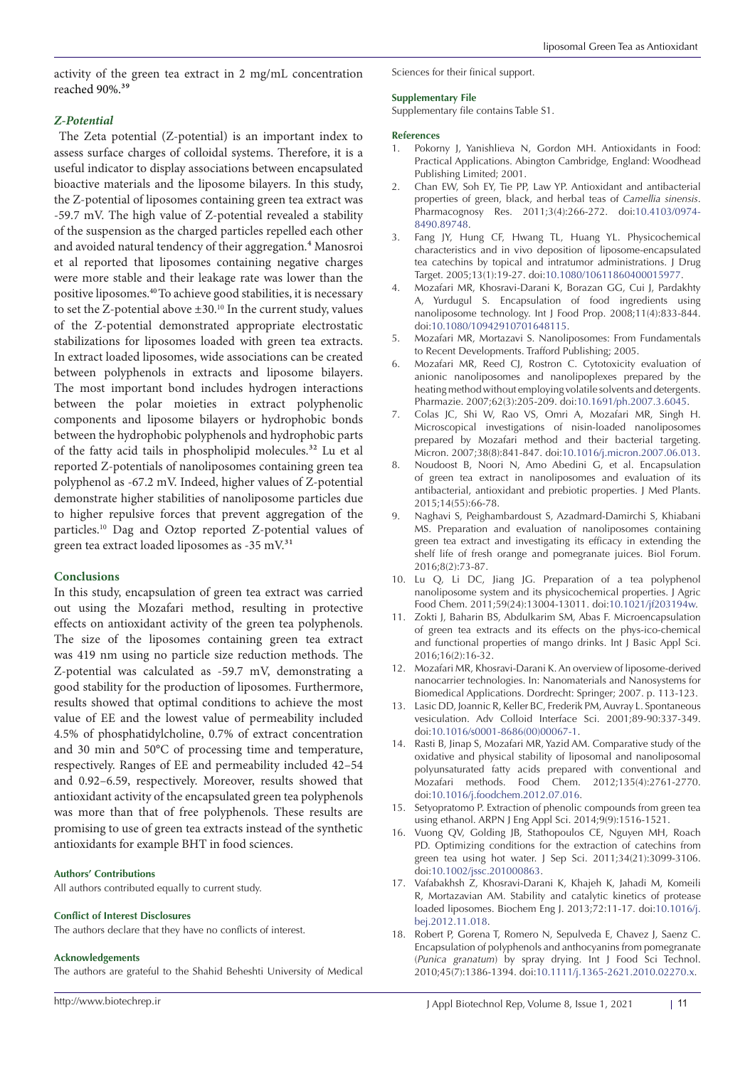activity of the green tea extract in 2 mg/mL concentration reached 90%.<sup>39</sup>

### *Z-Potential*

The Zeta potential (Z-potential) is an important index to assess surface charges of colloidal systems. Therefore, it is a useful indicator to display associations between encapsulated bioactive materials and the liposome bilayers. In this study, the Z-potential of liposomes containing green tea extract was -59.7 mV. The high value of Z-potential revealed a stability of the suspension as the charged particles repelled each other and avoided natural tendency of their aggregation.<sup>4</sup> Manosroi et al reported that liposomes containing negative charges were more stable and their leakage rate was lower than the positive liposomes.40To achieve good stabilities, it is necessary to set the Z-potential above ±30.10 In the current study, values of the Z-potential demonstrated appropriate electrostatic stabilizations for liposomes loaded with green tea extracts. In extract loaded liposomes, wide associations can be created between polyphenols in extracts and liposome bilayers. The most important bond includes hydrogen interactions between the polar moieties in extract polyphenolic components and liposome bilayers or hydrophobic bonds between the hydrophobic polyphenols and hydrophobic parts of the fatty acid tails in phospholipid molecules.<sup>32</sup> Lu et al reported Z-potentials of nanoliposomes containing green tea polyphenol as -67.2 mV. Indeed, higher values of Z-potential demonstrate higher stabilities of nanoliposome particles due to higher repulsive forces that prevent aggregation of the particles.10 Dag and Oztop reported Z-potential values of green tea extract loaded liposomes as -35 m $V<sup>31</sup>$ 

#### **Conclusions**

In this study, encapsulation of green tea extract was carried out using the Mozafari method, resulting in protective effects on antioxidant activity of the green tea polyphenols. The size of the liposomes containing green tea extract was 419 nm using no particle size reduction methods. The Z-potential was calculated as -59.7 mV, demonstrating a good stability for the production of liposomes. Furthermore, results showed that optimal conditions to achieve the most value of EE and the lowest value of permeability included 4.5% of phosphatidylcholine, 0.7% of extract concentration and 30 min and 50°C of processing time and temperature, respectively. Ranges of EE and permeability included 42–54 and 0.92–6.59, respectively. Moreover, results showed that antioxidant activity of the encapsulated green tea polyphenols was more than that of free polyphenols. These results are promising to use of green tea extracts instead of the synthetic antioxidants for example BHT in food sciences.

#### **Authors' Contributions**

All authors contributed equally to current study.

#### **Conflict of Interest Disclosures**

The authors declare that they have no conflicts of interest.

#### **Acknowledgements**

The authors are grateful to the Shahid Beheshti University of Medical

# Sciences for their finical support.

#### **Supplementary File**

Supplementary file contains Table S1.

#### **References**

- Pokorny J, Yanishlieva N, Gordon MH. Antioxidants in Food: Practical Applications. Abington Cambridge, England: Woodhead Publishing Limited; 2001.
- 2. Chan EW, Soh EY, Tie PP, Law YP. Antioxidant and antibacterial properties of green, black, and herbal teas of *Camellia sinensis*. Pharmacognosy Res. 2011;3(4):266-272. doi[:10.4103/0974-](https://doi.org/10.4103/0974-8490.89748) [8490.89748](https://doi.org/10.4103/0974-8490.89748).
- 3. Fang JY, Hung CF, Hwang TL, Huang YL. Physicochemical characteristics and in vivo deposition of liposome-encapsulated tea catechins by topical and intratumor administrations. J Drug Target. 2005;13(1):19-27. doi[:10.1080/10611860400015977.](https://doi.org/10.1080/10611860400015977)
- 4. Mozafari MR, Khosravi-Darani K, Borazan GG, Cui J, Pardakhty A, Yurdugul S. Encapsulation of food ingredients using nanoliposome technology. Int J Food Prop. 2008;11(4):833-844. doi[:10.1080/10942910701648115](https://doi.org/10.1080/10942910701648115).
- 5. Mozafari MR, Mortazavi S. Nanoliposomes: From Fundamentals to Recent Developments. Trafford Publishing; 2005.
- 6. Mozafari MR, Reed CJ, Rostron C. Cytotoxicity evaluation of anionic nanoliposomes and nanolipoplexes prepared by the heating method without employing volatile solvents and detergents. Pharmazie. 2007;62(3):205-209. doi[:10.1691/ph.2007.3.6045.](https://doi.org/10.1691/ph.2007.3.6045)
- 7. Colas JC, Shi W, Rao VS, Omri A, Mozafari MR, Singh H. Microscopical investigations of nisin-loaded nanoliposomes prepared by Mozafari method and their bacterial targeting. Micron. 2007;38(8):841-847. doi[:10.1016/j.micron.2007.06.013](https://doi.org/10.1016/j.micron.2007.06.013).
- 8. Noudoost B, Noori N, Amo Abedini G, et al. Encapsulation of green tea extract in nanoliposomes and evaluation of its antibacterial, antioxidant and prebiotic properties. J Med Plants. 2015;14(55):66-78.
- 9. Naghavi S, Peighambardoust S, Azadmard-Damirchi S, Khiabani MS. Preparation and evaluation of nanoliposomes containing green tea extract and investigating its efficacy in extending the shelf life of fresh orange and pomegranate juices. Biol Forum. 2016;8(2):73-87.
- 10. Lu Q, Li DC, Jiang JG. Preparation of a tea polyphenol nanoliposome system and its physicochemical properties. J Agric Food Chem. 2011;59(24):13004-13011. doi[:10.1021/jf203194w](https://doi.org/10.1021/jf203194w).
- 11. Zokti J, Baharin BS, Abdulkarim SM, Abas F. Microencapsulation of green tea extracts and its effects on the phys‐ico‐chemical and functional properties of mango drinks. Int J Basic Appl Sci. 2016;16(2):16-32.
- 12. Mozafari MR, Khosravi-Darani K. An overview of liposome-derived nanocarrier technologies. In: Nanomaterials and Nanosystems for Biomedical Applications. Dordrecht: Springer; 2007. p. 113-123.
- 13. Lasic DD, Joannic R, Keller BC, Frederik PM, Auvray L. Spontaneous vesiculation. Adv Colloid Interface Sci. 2001;89-90:337-349. doi[:10.1016/s0001-8686\(00\)00067-1.](https://doi.org/10.1016/s0001-8686(00)00067-1)
- 14. Rasti B, Jinap S, Mozafari MR, Yazid AM. Comparative study of the oxidative and physical stability of liposomal and nanoliposomal polyunsaturated fatty acids prepared with conventional and Mozafari methods. Food Chem. 2012;135(4):2761-2770. doi[:10.1016/j.foodchem.2012.07.016](https://doi.org/10.1016/j.foodchem.2012.07.016).
- 15. Setyopratomo P. Extraction of phenolic compounds from green tea using ethanol. ARPN J Eng Appl Sci. 2014;9(9):1516-1521.
- 16. Vuong QV, Golding JB, Stathopoulos CE, Nguyen MH, Roach PD. Optimizing conditions for the extraction of catechins from green tea using hot water. J Sep Sci. 2011;34(21):3099-3106. doi[:10.1002/jssc.201000863](https://doi.org/10.1002/jssc.201000863).
- 17. Vafabakhsh Z, Khosravi-Darani K, Khajeh K, Jahadi M, Komeili R, Mortazavian AM. Stability and catalytic kinetics of protease loaded liposomes. Biochem Eng J. 2013;72:11-17. doi[:10.1016/j.](https://doi.org/10.1016/j.bej.2012.11.018) [bej.2012.11.018](https://doi.org/10.1016/j.bej.2012.11.018).
- 18. Robert P, Gorena T, Romero N, Sepulveda E, Chavez J, Saenz C. Encapsulation of polyphenols and anthocyanins from pomegranate (*Punica granatum*) by spray drying. Int J Food Sci Technol. 2010;45(7):1386-1394. doi[:10.1111/j.1365-2621.2010.02270.x.](https://doi.org/10.1111/j.1365-2621.2010.02270.x)